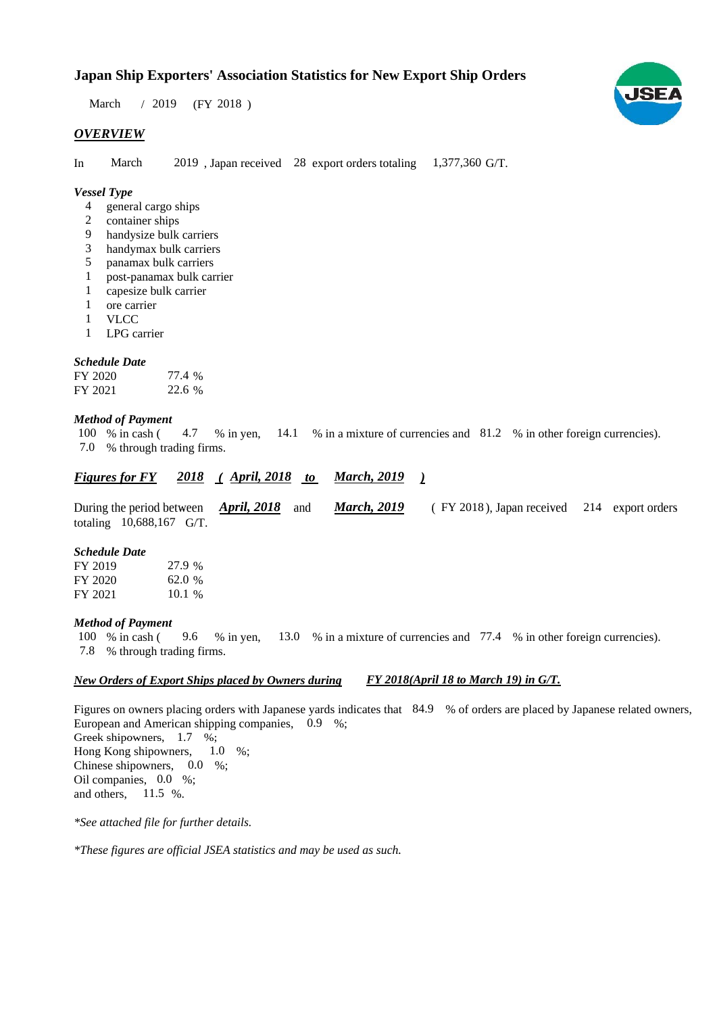$/ 2019$  (FY 2018) March

## *OVERVIEW*

In March 2019, Japan received 28 export orders totaling 1,377,360 G/T.

#### *Vessel Type*

- general cargo ships 4
- container ships 2
- handysize bulk carriers 9
- handymax bulk carriers 3
- panamax bulk carriers 5
- post-panamax bulk carrier post panamax bulk 1
- capesize bulk carrier 1
- ore carrier 1
- VLCC 1
- LPG carrier 1

### *Schedule Date*

| FY 2020 | 77.4 % |
|---------|--------|
| FY 2021 | 22.6 % |

#### *Method of Payment*

% in cash (4.7 % in yen, 14.1 % in a mixture of currencies and 81.2 % in other foreign currencies). % through trading firms. 7.0 100 % in cash ( 4.7

#### *<u><i>Figures for FY 2018 (April, 2018 to March, 2019 )*</u> *March, 2019*

During the period between *April, 2018* and *March, 2019* (FY 2018), Japan received 214 export orders *April, 2018* and *March*, 2019 totaling  $10,688,167$  G/T.

#### *Schedule Date*

| FY 2019 | 27.9 %   |
|---------|----------|
| FY 2020 | 62.0 %   |
| FY 2021 | $10.1\%$ |

#### *Method of Payment Method of*

% in cash ( $\frac{9.6}{8}$  in yen,  $\frac{13.0}{8}$  % in a mixture of currencies and  $\frac{77.4}{8}$  % in other foreign currencies). % through trading firms. 7.8 100 % in cash (

#### *New Orders of Export Ships placed by Owners during FY 2018(April 18 to March 19) in G/T.*

Figures on owners placing orders with Japanese yards indicates that 84.9 % of orders are placed by Japanese related owners, European and American shipping companies,  $0.9\%$ ; Greek shipowners,  $1.7 \%$ ; Hong Kong shipowners, Chinese shipowners,  $0.0\%$ ; Oil companies, 0.0 %; and others,  $11.5 %$  $1.0\%$ 

*\*See attached file for further details.*

\*These figures are official JSEA statistics and may be used as such.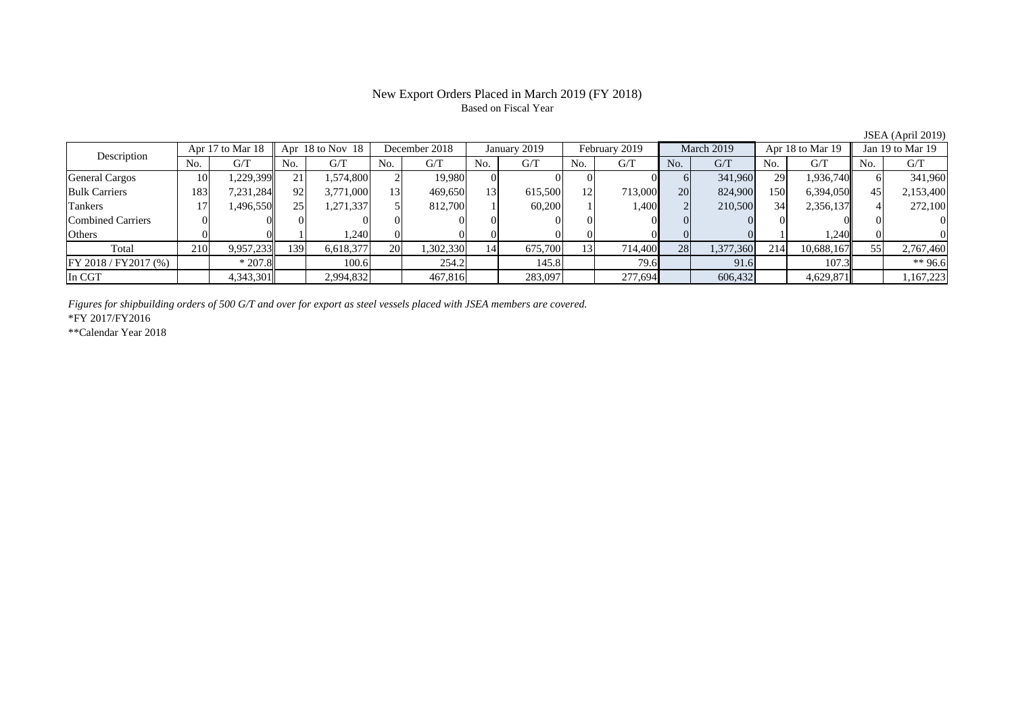#### New Export Orders Placed in March 2019 (FY 2018) Based on Fiscal Year

No. G/T No. G/T No. G/T No. G/T No. G/T No. G/T No. G/T No. G/T $G/T$ General Cargos ( 10 1,229,399 21 1,574,800 2 19,980 0 0 0 0 0 6 341,960 29 1,936,740 6 341,960 Bulk Carriers 19 183 7,231,284 92 3,771,000 13 469,650 13 615,500 12 713,000 20 824,900 150 6,394,050 45 2,153,400 Tankers | 17 | 1,496,550 || 25 | 1,271,337 | 5 | 812,700 | 1 | 60,200 | 1 | 1,400 | 2 | 210,500 | 34 | 2,356,137 || 4 | Combined Carriers 0 0 0 0 0 0 0 0 0 0 0 0 0 0 0 0Others ( 0 0 0 1 1,240 0 0 0 0 0 0 0 0 1 1,240 0 0 Total 210 9,957,233 139 6,618,377 20 1,302,330 14 675,700 13 714,400 28 1,377,360 214 10,688,167 55 2,767,460 FY 2018 / FY2017 (%) | \*207.8 | 100.6 | 254.2 | 145.8 | 79.6 | 91.6 | 107.3 | \*\* 96.6 In CGT | | 4,343,301 | | 2,994,832 | | 467,816 | | 283,097 | | 277,694 | | 606,432 | | 4,629,871 | | 1,167,223 January 2019 Description Apr 17 to Mar 18 Apr 18 to Nov 18 December 2018 February 2019 March 2019 Apr 18 to Mar 19 Jan 19 to Mar 19

*Figures for shipbuilding orders of 500 G/T and over for export as steel vessels placed with JSEA members are covered.*

\*FY 2017/FY2016

\*\*Calendar Year 2018

JSEA (April 2019)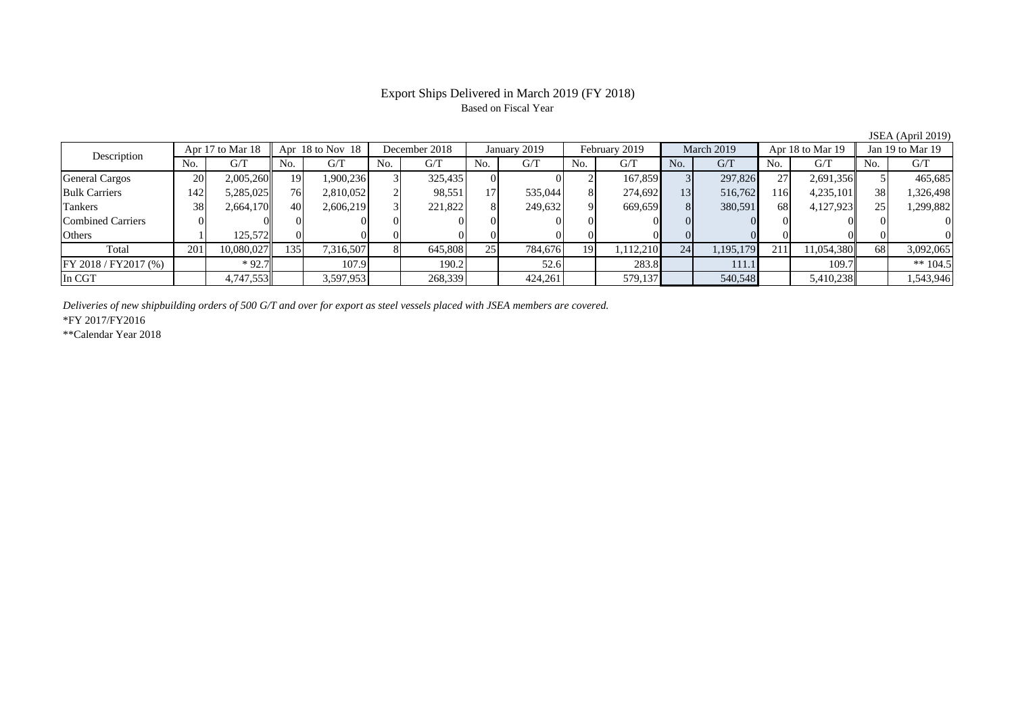#### Export Ships Delivered in March 2019 (FY 2018) Based on Fiscal Year

No. G/T No. G/T No. G/T No. G/T No. G/T No. G/T No. G/T No. G/T $\mathrm{G}/\mathrm{T}$ General Cargos ( 20 2,005,260 19 1,900,236 3 325,435 0 0 0 2 167,859 3 297,826 27 2,691,356 5 465,685 Bulk Carriers 142 5,285,025 76 2,810,052 2 98,551 17 535,044 8 274,692 13 516,762 116 4,235,101 38 1,326,498 Tankers 38 2,664,170 40 2,606,219 3 221,822 8 249,632 9 669,659 8 380,591 68 4,127,923 25 1,299,882 Combined Carriers 0 0 0 0 0 0 0 0 0 0 0 0 0 0 0 0Others | 1 | 125,572 || 0 | 0 | 0 | 0 | 0 | 0 | 0 | 0 | 0 | 0 | 0 Total 201 10,080,027 135 7,316,507 8 645,808 25 784,676 19 1,112,210 24 1,195,179 211 11,054,380 68 3,092,065 |FY 2018 / FY2017 (%) | | \*92.7 | | 107.9 | 190.2 | 52.6 | 283.8 | 111.1 | 109.7 | \*\* 104.5 In CGT | | 4,747,553|| | 3,597,953| | 268,339| | 424,261| | 579,137| | 540,548| | 5,410,238|| | 1,543,946 December 2018 January 2019 Description Apr 17 to Mar 18 Apr 18 to Nov 18 February 2019 March 2019 Apr 18 to Mar 19 Jan 19 to Mar 19

*Deliveries of new shipbuilding orders of 500 G/T and over for export as steel vessels placed with JSEA members are covered.*

\*FY 2017/FY2016

\*\*Calendar Year 2018

JSEA (April 2019)